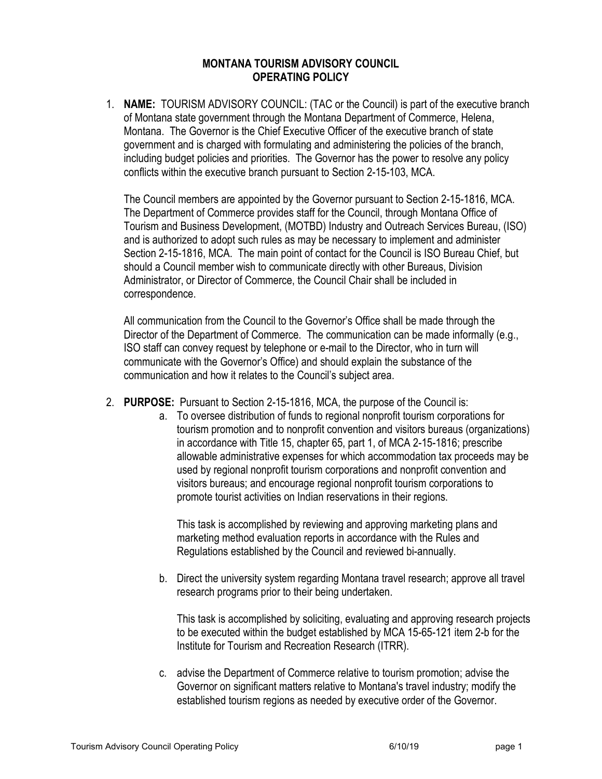## **MONTANA TOURISM ADVISORY COUNCIL OPERATING POLICY**

1. **NAME:** TOURISM ADVISORY COUNCIL: (TAC or the Council) is part of the executive branch of Montana state government through the Montana Department of Commerce, Helena, Montana. The Governor is the Chief Executive Officer of the executive branch of state government and is charged with formulating and administering the policies of the branch, including budget policies and priorities. The Governor has the power to resolve any policy conflicts within the executive branch pursuant to Section 2-15-103, MCA.

The Council members are appointed by the Governor pursuant to Section 2-15-1816, MCA. The Department of Commerce provides staff for the Council, through Montana Office of Tourism and Business Development, (MOTBD) Industry and Outreach Services Bureau, (ISO) and is authorized to adopt such rules as may be necessary to implement and administer Section 2-15-1816, MCA. The main point of contact for the Council is ISO Bureau Chief, but should a Council member wish to communicate directly with other Bureaus, Division Administrator, or Director of Commerce, the Council Chair shall be included in correspondence.

All communication from the Council to the Governor's Office shall be made through the Director of the Department of Commerce. The communication can be made informally (e.g., ISO staff can convey request by telephone or e-mail to the Director, who in turn will communicate with the Governor's Office) and should explain the substance of the communication and how it relates to the Council's subject area.

- 2. **PURPOSE:** Pursuant to Section 2-15-1816, MCA, the purpose of the Council is:
	- a. To oversee distribution of funds to regional nonprofit tourism corporations for tourism promotion and to nonprofit convention and visitors bureaus (organizations) in accordance with Title 15, chapter 65, part 1, of MCA 2-15-1816; prescribe allowable administrative expenses for which accommodation tax proceeds may be used by regional nonprofit tourism corporations and nonprofit convention and visitors bureaus; and encourage regional nonprofit tourism corporations to promote tourist activities on Indian reservations in their regions.

This task is accomplished by reviewing and approving marketing plans and marketing method evaluation reports in accordance with the Rules and Regulations established by the Council and reviewed bi-annually.

b. Direct the university system regarding Montana travel research; approve all travel research programs prior to their being undertaken.

This task is accomplished by soliciting, evaluating and approving research projects to be executed within the budget established by MCA 15-65-121 item 2-b for the Institute for Tourism and Recreation Research (ITRR).

c. advise the Department of Commerce relative to tourism promotion; advise the Governor on significant matters relative to Montana's travel industry; modify the established tourism regions as needed by executive order of the Governor.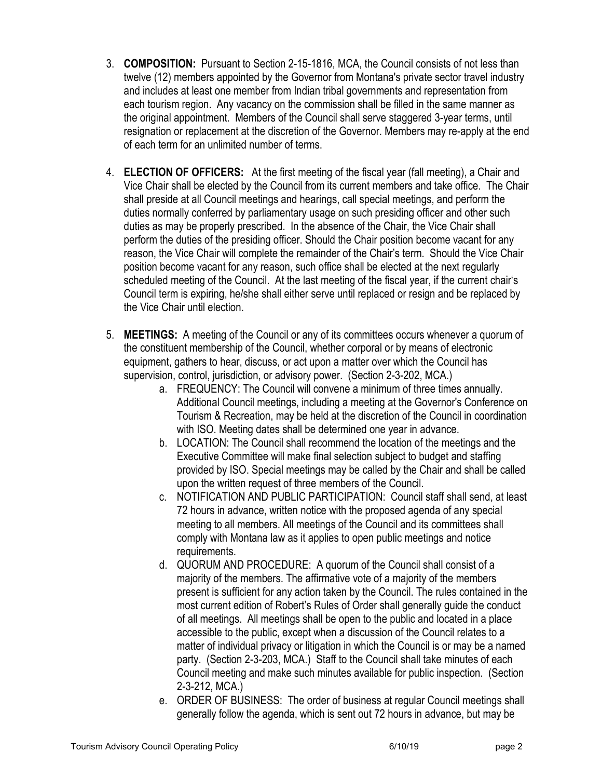- 3. **COMPOSITION:** Pursuant to Section 2-15-1816, MCA, the Council consists of not less than twelve (12) members appointed by the Governor from Montana's private sector travel industry and includes at least one member from Indian tribal governments and representation from each tourism region. Any vacancy on the commission shall be filled in the same manner as the original appointment. Members of the Council shall serve staggered 3-year terms, until resignation or replacement at the discretion of the Governor. Members may re-apply at the end of each term for an unlimited number of terms.
- 4. **ELECTION OF OFFICERS:** At the first meeting of the fiscal year (fall meeting), a Chair and Vice Chair shall be elected by the Council from its current members and take office. The Chair shall preside at all Council meetings and hearings, call special meetings, and perform the duties normally conferred by parliamentary usage on such presiding officer and other such duties as may be properly prescribed. In the absence of the Chair, the Vice Chair shall perform the duties of the presiding officer. Should the Chair position become vacant for any reason, the Vice Chair will complete the remainder of the Chair's term. Should the Vice Chair position become vacant for any reason, such office shall be elected at the next regularly scheduled meeting of the Council. At the last meeting of the fiscal year, if the current chair's Council term is expiring, he/she shall either serve until replaced or resign and be replaced by the Vice Chair until election.
- 5. **MEETINGS:** A meeting of the Council or any of its committees occurs whenever a quorum of the constituent membership of the Council, whether corporal or by means of electronic equipment, gathers to hear, discuss, or act upon a matter over which the Council has supervision, control, jurisdiction, or advisory power. (Section 2-3-202, MCA.)
	- a. FREQUENCY: The Council will convene a minimum of three times annually. Additional Council meetings, including a meeting at the Governor's Conference on Tourism & Recreation, may be held at the discretion of the Council in coordination with ISO. Meeting dates shall be determined one year in advance.
	- b. LOCATION: The Council shall recommend the location of the meetings and the Executive Committee will make final selection subject to budget and staffing provided by ISO. Special meetings may be called by the Chair and shall be called upon the written request of three members of the Council.
	- c. NOTIFICATION AND PUBLIC PARTICIPATION: Council staff shall send, at least 72 hours in advance, written notice with the proposed agenda of any special meeting to all members. All meetings of the Council and its committees shall comply with Montana law as it applies to open public meetings and notice requirements.
	- d. QUORUM AND PROCEDURE: A quorum of the Council shall consist of a majority of the members. The affirmative vote of a majority of the members present is sufficient for any action taken by the Council. The rules contained in the most current edition of Robert's Rules of Order shall generally guide the conduct of all meetings. All meetings shall be open to the public and located in a place accessible to the public, except when a discussion of the Council relates to a matter of individual privacy or litigation in which the Council is or may be a named party. (Section 2-3-203, MCA.) Staff to the Council shall take minutes of each Council meeting and make such minutes available for public inspection. (Section 2-3-212, MCA.)
	- e. ORDER OF BUSINESS: The order of business at regular Council meetings shall generally follow the agenda, which is sent out 72 hours in advance, but may be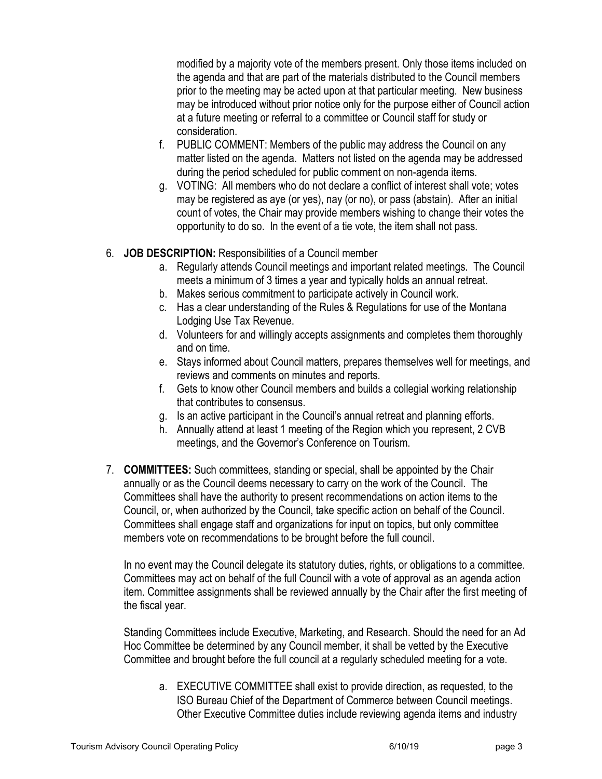modified by a majority vote of the members present. Only those items included on the agenda and that are part of the materials distributed to the Council members prior to the meeting may be acted upon at that particular meeting. New business may be introduced without prior notice only for the purpose either of Council action at a future meeting or referral to a committee or Council staff for study or consideration.

- f. PUBLIC COMMENT: Members of the public may address the Council on any matter listed on the agenda. Matters not listed on the agenda may be addressed during the period scheduled for public comment on non-agenda items.
- g. VOTING: All members who do not declare a conflict of interest shall vote; votes may be registered as aye (or yes), nay (or no), or pass (abstain). After an initial count of votes, the Chair may provide members wishing to change their votes the opportunity to do so. In the event of a tie vote, the item shall not pass.
- 6. **JOB DESCRIPTION:** Responsibilities of a Council member
	- a. Regularly attends Council meetings and important related meetings. The Council meets a minimum of 3 times a year and typically holds an annual retreat.
	- b. Makes serious commitment to participate actively in Council work.
	- c. Has a clear understanding of the Rules & Regulations for use of the Montana Lodging Use Tax Revenue.
	- d. Volunteers for and willingly accepts assignments and completes them thoroughly and on time.
	- e. Stays informed about Council matters, prepares themselves well for meetings, and reviews and comments on minutes and reports.
	- f. Gets to know other Council members and builds a collegial working relationship that contributes to consensus.
	- g. Is an active participant in the Council's annual retreat and planning efforts.
	- h. Annually attend at least 1 meeting of the Region which you represent, 2 CVB meetings, and the Governor's Conference on Tourism.
- 7. **COMMITTEES:** Such committees, standing or special, shall be appointed by the Chair annually or as the Council deems necessary to carry on the work of the Council. The Committees shall have the authority to present recommendations on action items to the Council, or, when authorized by the Council, take specific action on behalf of the Council. Committees shall engage staff and organizations for input on topics, but only committee members vote on recommendations to be brought before the full council.

In no event may the Council delegate its statutory duties, rights, or obligations to a committee. Committees may act on behalf of the full Council with a vote of approval as an agenda action item. Committee assignments shall be reviewed annually by the Chair after the first meeting of the fiscal year.

Standing Committees include Executive, Marketing, and Research. Should the need for an Ad Hoc Committee be determined by any Council member, it shall be vetted by the Executive Committee and brought before the full council at a regularly scheduled meeting for a vote.

a. EXECUTIVE COMMITTEE shall exist to provide direction, as requested, to the ISO Bureau Chief of the Department of Commerce between Council meetings. Other Executive Committee duties include reviewing agenda items and industry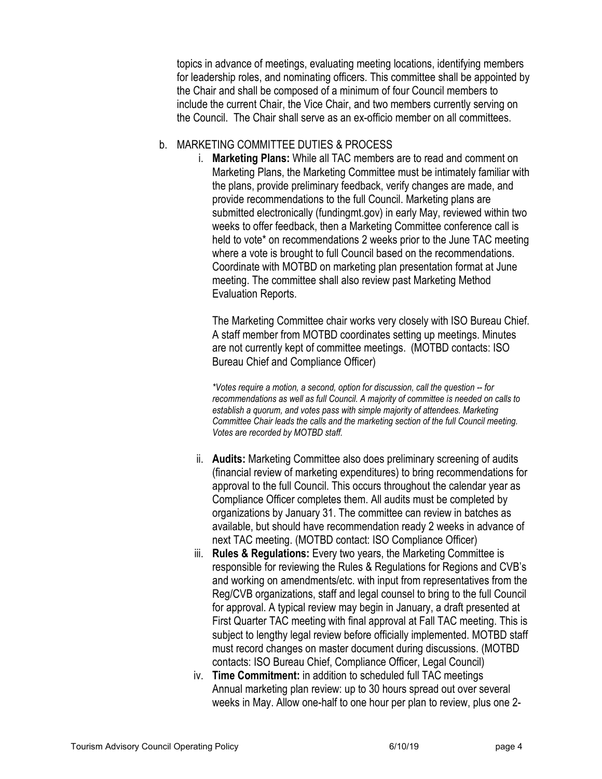topics in advance of meetings, evaluating meeting locations, identifying members for leadership roles, and nominating officers. This committee shall be appointed by the Chair and shall be composed of a minimum of four Council members to include the current Chair, the Vice Chair, and two members currently serving on the Council. The Chair shall serve as an ex-officio member on all committees.

## b. MARKETING COMMITTEE DUTIES & PROCESS

i. **Marketing Plans:** While all TAC members are to read and comment on Marketing Plans, the Marketing Committee must be intimately familiar with the plans, provide preliminary feedback, verify changes are made, and provide recommendations to the full Council. Marketing plans are submitted electronically (fundingmt.gov) in early May, reviewed within two weeks to offer feedback, then a Marketing Committee conference call is held to vote\* on recommendations 2 weeks prior to the June TAC meeting where a vote is brought to full Council based on the recommendations. Coordinate with MOTBD on marketing plan presentation format at June meeting. The committee shall also review past Marketing Method Evaluation Reports.

The Marketing Committee chair works very closely with ISO Bureau Chief. A staff member from MOTBD coordinates setting up meetings. Minutes are not currently kept of committee meetings. (MOTBD contacts: ISO Bureau Chief and Compliance Officer)

*\*Votes require a motion, a second, option for discussion, call the question -- for recommendations as well as full Council. A majority of committee is needed on calls to*  establish a quorum, and votes pass with simple majority of attendees. Marketing *Committee Chair leads the calls and the marketing section of the full Council meeting. Votes are recorded by MOTBD staff.*

- ii. **Audits:** Marketing Committee also does preliminary screening of audits (financial review of marketing expenditures) to bring recommendations for approval to the full Council. This occurs throughout the calendar year as Compliance Officer completes them. All audits must be completed by organizations by January 31. The committee can review in batches as available, but should have recommendation ready 2 weeks in advance of next TAC meeting. (MOTBD contact: ISO Compliance Officer)
- iii. **Rules & Regulations:** Every two years, the Marketing Committee is responsible for reviewing the Rules & Regulations for Regions and CVB's and working on amendments/etc. with input from representatives from the Reg/CVB organizations, staff and legal counsel to bring to the full Council for approval. A typical review may begin in January, a draft presented at First Quarter TAC meeting with final approval at Fall TAC meeting. This is subject to lengthy legal review before officially implemented. MOTBD staff must record changes on master document during discussions. (MOTBD contacts: ISO Bureau Chief, Compliance Officer, Legal Council)
- iv. **Time Commitment:** in addition to scheduled full TAC meetings Annual marketing plan review: up to 30 hours spread out over several weeks in May. Allow one-half to one hour per plan to review, plus one 2-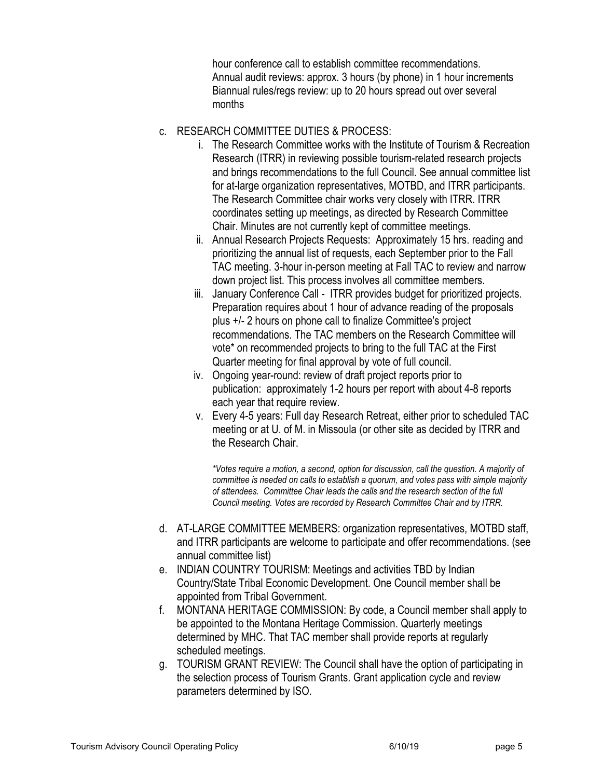hour conference call to establish committee recommendations. Annual audit reviews: approx. 3 hours (by phone) in 1 hour increments Biannual rules/regs review: up to 20 hours spread out over several months

- c. RESEARCH COMMITTEE DUTIES & PROCESS:
	- i. The Research Committee works with the Institute of Tourism & Recreation Research (ITRR) in reviewing possible tourism-related research projects and brings recommendations to the full Council. See annual committee list for at-large organization representatives, MOTBD, and ITRR participants. The Research Committee chair works very closely with ITRR. ITRR coordinates setting up meetings, as directed by Research Committee Chair. Minutes are not currently kept of committee meetings.
	- ii. Annual Research Projects Requests: Approximately 15 hrs. reading and prioritizing the annual list of requests, each September prior to the Fall TAC meeting. 3-hour in-person meeting at Fall TAC to review and narrow down project list. This process involves all committee members.
	- iii. January Conference Call ITRR provides budget for prioritized projects. Preparation requires about 1 hour of advance reading of the proposals plus +/- 2 hours on phone call to finalize Committee's project recommendations. The TAC members on the Research Committee will vote\* on recommended projects to bring to the full TAC at the First Quarter meeting for final approval by vote of full council.
	- iv. Ongoing year-round: review of draft project reports prior to publication: approximately 1-2 hours per report with about 4-8 reports each year that require review.
	- v. Every 4-5 years: Full day Research Retreat, either prior to scheduled TAC meeting or at U. of M. in Missoula (or other site as decided by ITRR and the Research Chair.

*\*Votes require a motion, a second, option for discussion, call the question. A majority of committee is needed on calls to establish a quorum, and votes pass with simple majority of attendees. Committee Chair leads the calls and the research section of the full Council meeting. Votes are recorded by Research Committee Chair and by ITRR.*

- d. AT-LARGE COMMITTEE MEMBERS: organization representatives, MOTBD staff, and ITRR participants are welcome to participate and offer recommendations. (see annual committee list)
- e. INDIAN COUNTRY TOURISM: Meetings and activities TBD by Indian Country/State Tribal Economic Development. One Council member shall be appointed from Tribal Government.
- f. MONTANA HERITAGE COMMISSION: By code, a Council member shall apply to be appointed to the Montana Heritage Commission. Quarterly meetings determined by MHC. That TAC member shall provide reports at regularly scheduled meetings.
- g. TOURISM GRANT REVIEW: The Council shall have the option of participating in the selection process of Tourism Grants. Grant application cycle and review parameters determined by ISO.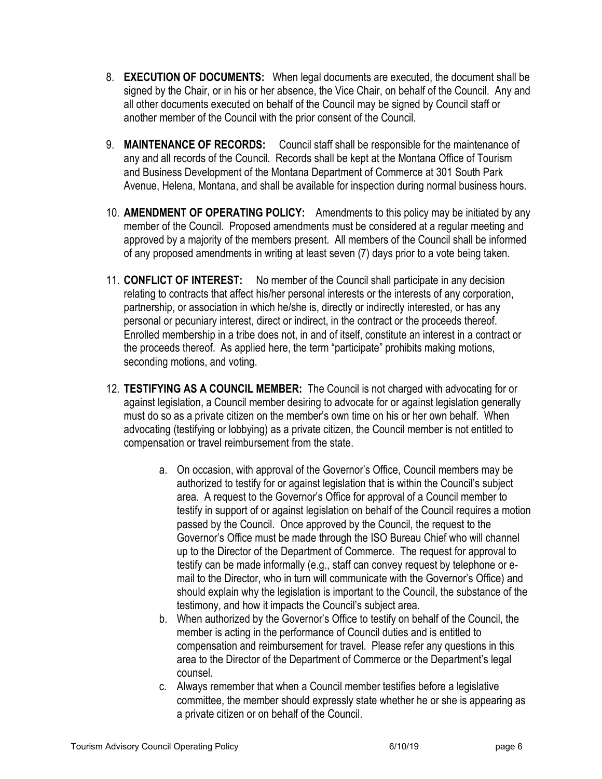- 8. **EXECUTION OF DOCUMENTS:** When legal documents are executed, the document shall be signed by the Chair, or in his or her absence, the Vice Chair, on behalf of the Council. Any and all other documents executed on behalf of the Council may be signed by Council staff or another member of the Council with the prior consent of the Council.
- 9. **MAINTENANCE OF RECORDS:** Council staff shall be responsible for the maintenance of any and all records of the Council. Records shall be kept at the Montana Office of Tourism and Business Development of the Montana Department of Commerce at 301 South Park Avenue, Helena, Montana, and shall be available for inspection during normal business hours.
- 10. **AMENDMENT OF OPERATING POLICY:** Amendments to this policy may be initiated by any member of the Council. Proposed amendments must be considered at a regular meeting and approved by a majority of the members present. All members of the Council shall be informed of any proposed amendments in writing at least seven (7) days prior to a vote being taken.
- 11. **CONFLICT OF INTEREST:** No member of the Council shall participate in any decision relating to contracts that affect his/her personal interests or the interests of any corporation, partnership, or association in which he/she is, directly or indirectly interested, or has any personal or pecuniary interest, direct or indirect, in the contract or the proceeds thereof. Enrolled membership in a tribe does not, in and of itself, constitute an interest in a contract or the proceeds thereof. As applied here, the term "participate" prohibits making motions, seconding motions, and voting.
- 12. **TESTIFYING AS A COUNCIL MEMBER:** The Council is not charged with advocating for or against legislation, a Council member desiring to advocate for or against legislation generally must do so as a private citizen on the member's own time on his or her own behalf. When advocating (testifying or lobbying) as a private citizen, the Council member is not entitled to compensation or travel reimbursement from the state.
	- a. On occasion, with approval of the Governor's Office, Council members may be authorized to testify for or against legislation that is within the Council's subject area. A request to the Governor's Office for approval of a Council member to testify in support of or against legislation on behalf of the Council requires a motion passed by the Council. Once approved by the Council, the request to the Governor's Office must be made through the ISO Bureau Chief who will channel up to the Director of the Department of Commerce. The request for approval to testify can be made informally (e.g., staff can convey request by telephone or email to the Director, who in turn will communicate with the Governor's Office) and should explain why the legislation is important to the Council, the substance of the testimony, and how it impacts the Council's subject area.
	- b. When authorized by the Governor's Office to testify on behalf of the Council, the member is acting in the performance of Council duties and is entitled to compensation and reimbursement for travel. Please refer any questions in this area to the Director of the Department of Commerce or the Department's legal counsel.
	- c. Always remember that when a Council member testifies before a legislative committee, the member should expressly state whether he or she is appearing as a private citizen or on behalf of the Council.